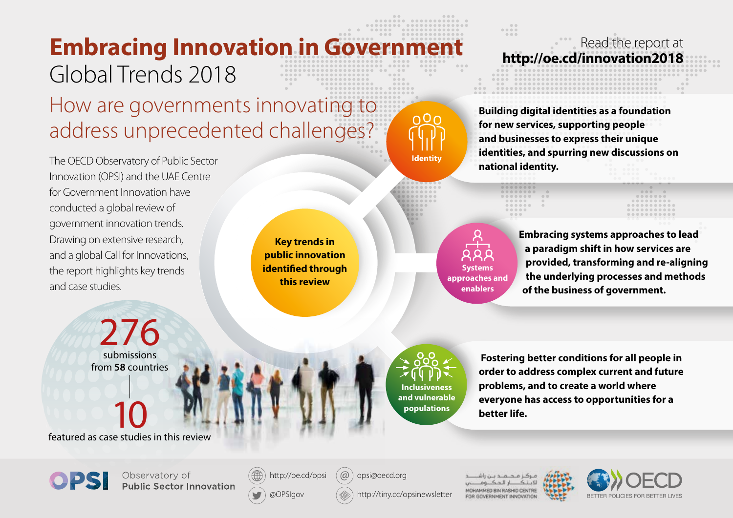## **Embracing Innovation in Government** Global Trends 2018 How are governments innovating to

address unprecedented challenges?

The OECD Observatory of Public Sector Innovation (OPSI) and the UAE Centre for Government Innovation have conducted a global review of government innovation trends. Drawing on extensive research, and a global Call for Innovations, the report highlights key trends and case studies.

**Key trends in public innovation identified through this review**

**Systems approaches and enablers**

**Embracing systems approaches to lead a paradigm shift in how services are provided, transforming and re-aligning the underlying processes and methods of the business of government.**

276 submissions from **58** countries

10 featured as case studies in this review

**Inclusiveness and vulnerable populations**

**Identity**

∩O⊦

 **Fostering better conditions for all people in order to address complex current and future problems, and to create a world where everyone has access to opportunities for a better life.**

**Building digital identities as a foundation** 

Read the report at<br>**http://oe.cd/innovation2018** 

**for new services, supporting people and businesses to express their unique identities, and spurring new discussions on** 

**national identity.**

 $0.0.0.0$ 



Observatory of **Public Sector Innovation** 



 $\alpha$ opsi@oecd.org

http://tiny.cc/opsinewsletter